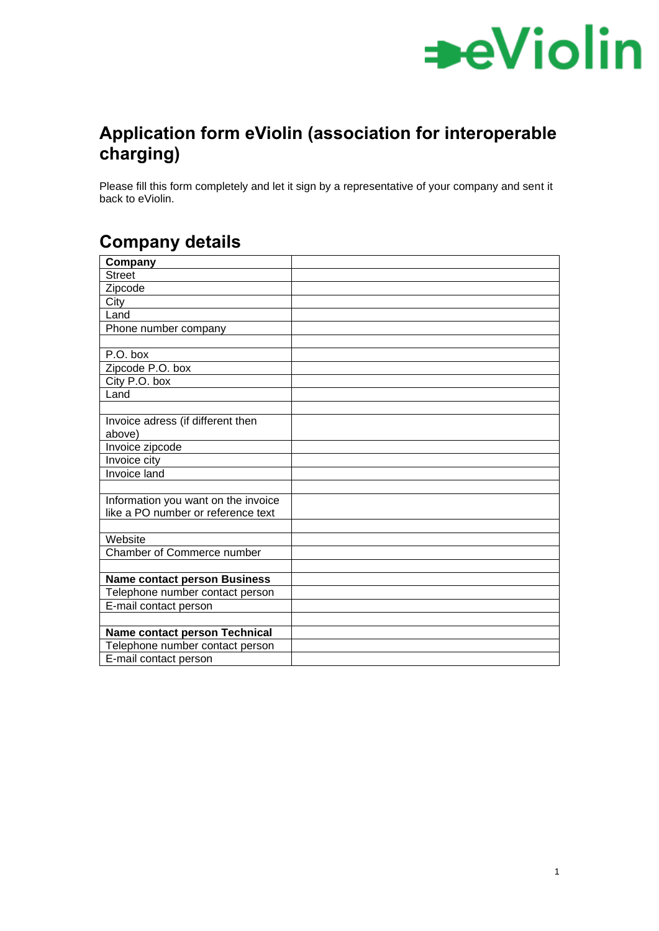

## **Application form eViolin (association for interoperable charging)**

Please fill this form completely and let it sign by a representative of your company and sent it back to eViolin.

## **Company details**

| Company                              |  |
|--------------------------------------|--|
| <b>Street</b>                        |  |
| Zipcode                              |  |
| City                                 |  |
| Land                                 |  |
| Phone number company                 |  |
|                                      |  |
| P.O. box                             |  |
| Zipcode P.O. box                     |  |
| City P.O. box                        |  |
| Land                                 |  |
|                                      |  |
| Invoice adress (if different then    |  |
| above)                               |  |
| Invoice zipcode                      |  |
| Invoice city                         |  |
| Invoice land                         |  |
|                                      |  |
| Information you want on the invoice  |  |
| like a PO number or reference text   |  |
|                                      |  |
| Website                              |  |
| <b>Chamber of Commerce number</b>    |  |
|                                      |  |
| <b>Name contact person Business</b>  |  |
| Telephone number contact person      |  |
| E-mail contact person                |  |
|                                      |  |
| <b>Name contact person Technical</b> |  |
| Telephone number contact person      |  |
| E-mail contact person                |  |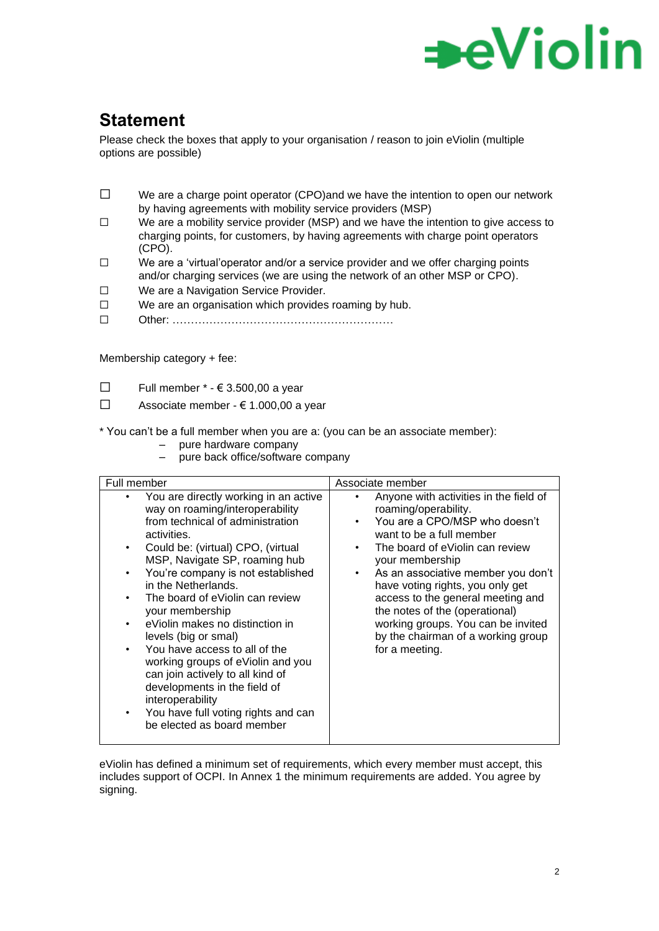## ∍eViolin

## **Statement**

Please check the boxes that apply to your organisation / reason to join eViolin (multiple options are possible)

- $\square$  We are a charge point operator (CPO)and we have the intention to open our network by having agreements with mobility service providers (MSP)
- ☐ We are a mobility service provider (MSP) and we have the intention to give access to charging points, for customers, by having agreements with charge point operators (CPO).
- $\square$  We are a 'virtual'operator and/or a service provider and we offer charging points and/or charging services (we are using the network of an other MSP or CPO).
- ☐ We are a Navigation Service Provider.
- ☐ We are an organisation which provides roaming by hub.
- ☐ Other: ……………………………………………………

Membership category + fee:

- $\Box$  Full member  $*$   $\in$  3.500.00 a vear
- ☐ Associate member € 1.000,00 a year

\* You can't be a full member when you are a: (you can be an associate member):

- pure hardware company
- pure back office/software company

| Full member                                           |                                                                                                                                                                                                                                                                                                                                                                                                                                                                                                                                                                                                                   | Associate member |                                                                                                                                                                                                                                                                                                                                                                                                                                  |  |  |
|-------------------------------------------------------|-------------------------------------------------------------------------------------------------------------------------------------------------------------------------------------------------------------------------------------------------------------------------------------------------------------------------------------------------------------------------------------------------------------------------------------------------------------------------------------------------------------------------------------------------------------------------------------------------------------------|------------------|----------------------------------------------------------------------------------------------------------------------------------------------------------------------------------------------------------------------------------------------------------------------------------------------------------------------------------------------------------------------------------------------------------------------------------|--|--|
| $\bullet$<br>$\bullet$<br>$\bullet$<br>$\bullet$<br>٠ | You are directly working in an active<br>way on roaming/interoperability<br>from technical of administration<br>activities.<br>Could be: (virtual) CPO, (virtual<br>MSP, Navigate SP, roaming hub<br>You're company is not established<br>in the Netherlands.<br>The board of eViolin can review<br>your membership<br>eViolin makes no distinction in<br>levels (big or smal)<br>You have access to all of the<br>working groups of eViolin and you<br>can join actively to all kind of<br>developments in the field of<br>interoperability<br>You have full voting rights and can<br>be elected as board member | $\bullet$        | Anyone with activities in the field of<br>roaming/operability.<br>You are a CPO/MSP who doesn't<br>want to be a full member<br>The board of eViolin can review<br>your membership<br>As an associative member you don't<br>have voting rights, you only get<br>access to the general meeting and<br>the notes of the (operational)<br>working groups. You can be invited<br>by the chairman of a working group<br>for a meeting. |  |  |

eViolin has defined a minimum set of requirements, which every member must accept, this includes support of OCPI. In Annex 1 the minimum requirements are added. You agree by signing.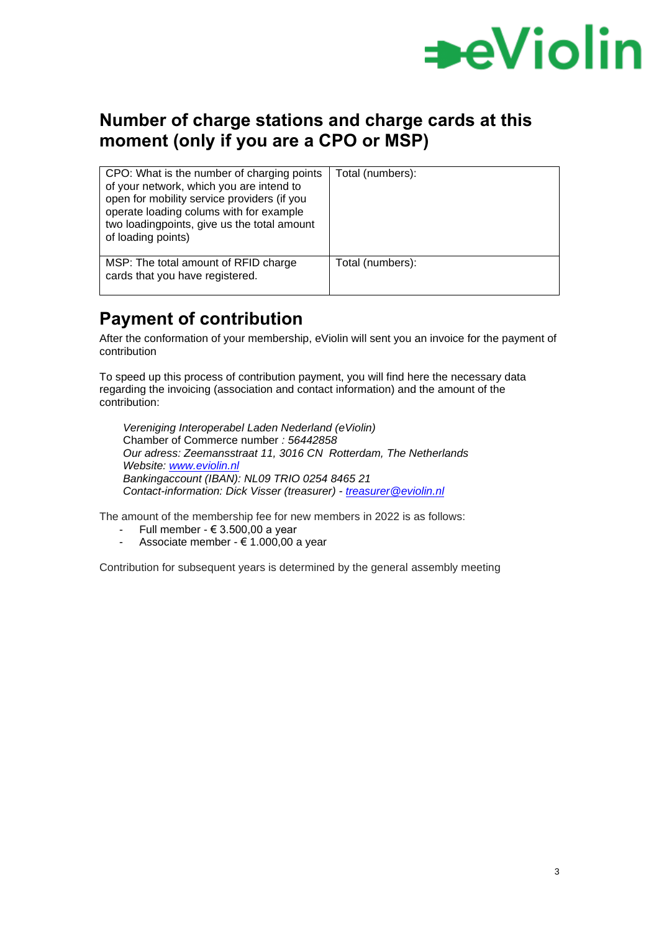

### **Number of charge stations and charge cards at this moment (only if you are a CPO or MSP)**

| CPO: What is the number of charging points<br>of your network, which you are intend to<br>open for mobility service providers (if you<br>operate loading colums with for example<br>two loadingpoints, give us the total amount<br>of loading points) | Total (numbers): |
|-------------------------------------------------------------------------------------------------------------------------------------------------------------------------------------------------------------------------------------------------------|------------------|
| MSP: The total amount of RFID charge<br>cards that you have registered.                                                                                                                                                                               | Total (numbers): |

### **Payment of contribution**

After the conformation of your membership, eViolin will sent you an invoice for the payment of contribution

To speed up this process of contribution payment, you will find here the necessary data regarding the invoicing (association and contact information) and the amount of the contribution:

*Vereniging Interoperabel Laden Nederland (eViolin)* Chamber of Commerce number *: 56442858 Our adress: Zeemansstraat 11, 3016 CN Rotterdam, The Netherlands Website: [www.eviolin.nl](http://www.eviolin.nl/) Bankingaccount (IBAN): NL09 TRIO 0254 8465 21 Contact-information: Dick Visser (treasurer) - [treasurer@eviolin.nl](mailto:treasurer@eviolin.nl)*

The amount of the membership fee for new members in 2022 is as follows:

- Full member € 3.500,00 a year
- Associate member  $\epsilon$  1.000,00 a year

Contribution for subsequent years is determined by the general assembly meeting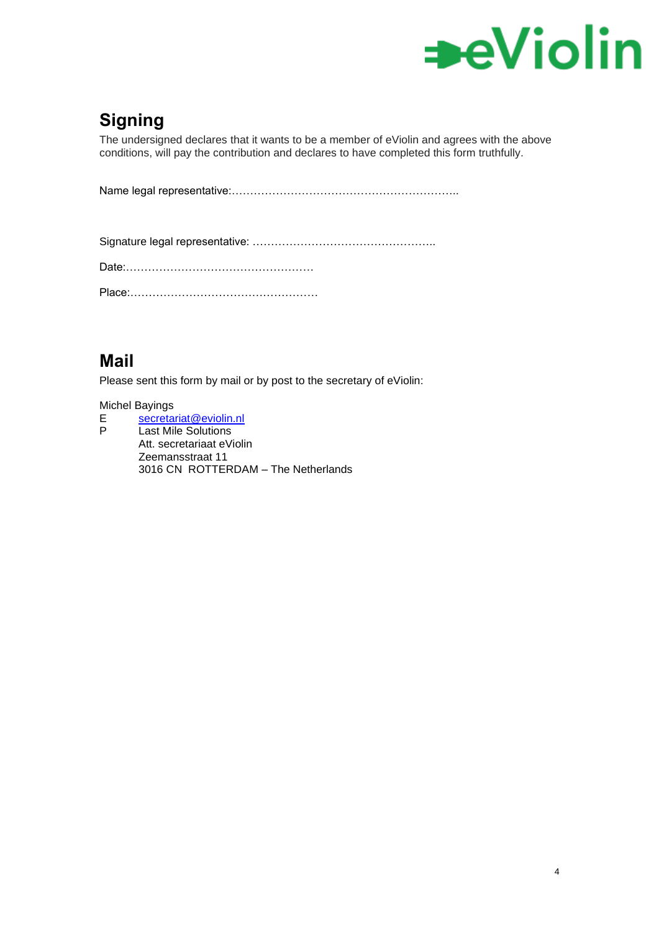

## **Signing**

The undersigned declares that it wants to be a member of eViolin and agrees with the above conditions, will pay the contribution and declares to have completed this form truthfully.

Name legal representative:……………………………………………………..

Signature legal representative: …………………………………………..

Date:……………………………………………

Place:……………………………………………

## **Mail**

Please sent this form by mail or by post to the secretary of eViolin:

#### Michel Bayings

E [secretariat@eviolin.nl](mailto:secretariat@eviolin.nl)<br>P Last Mile Solutions Last Mile Solutions Att. secretariaat eViolin Zeemansstraat 11 3016 CN ROTTERDAM – The Netherlands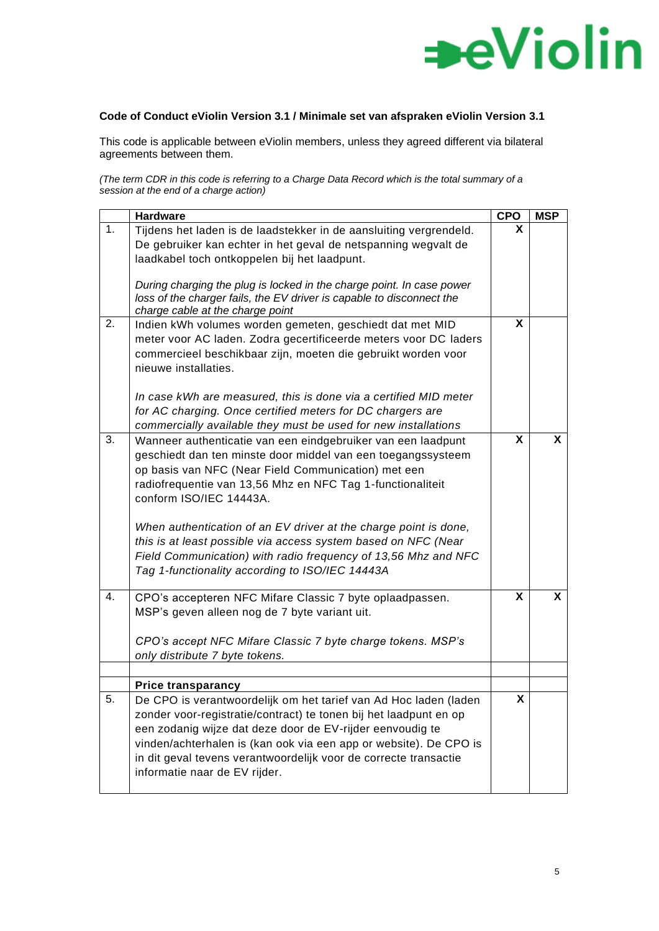

#### **Code of Conduct eViolin Version 3.1 / Minimale set van afspraken eViolin Version 3.1**

This code is applicable between eViolin members, unless they agreed different via bilateral agreements between them.

*(The term CDR in this code is referring to a Charge Data Record which is the total summary of a session at the end of a charge action)*

|    | <b>Hardware</b>                                                                                                                                                                                                                                                                                                                                                                                                                                                                                                                                                                                           | <b>CPO</b> | <b>MSP</b> |
|----|-----------------------------------------------------------------------------------------------------------------------------------------------------------------------------------------------------------------------------------------------------------------------------------------------------------------------------------------------------------------------------------------------------------------------------------------------------------------------------------------------------------------------------------------------------------------------------------------------------------|------------|------------|
| 1. | Tijdens het laden is de laadstekker in de aansluiting vergrendeld.<br>De gebruiker kan echter in het geval de netspanning wegvalt de<br>laadkabel toch ontkoppelen bij het laadpunt.<br>During charging the plug is locked in the charge point. In case power<br>loss of the charger fails, the EV driver is capable to disconnect the<br>charge cable at the charge point                                                                                                                                                                                                                                | X          |            |
| 2. | Indien kWh volumes worden gemeten, geschiedt dat met MID<br>meter voor AC laden. Zodra gecertificeerde meters voor DC laders<br>commercieel beschikbaar zijn, moeten die gebruikt worden voor<br>nieuwe installaties.<br>In case kWh are measured, this is done via a certified MID meter<br>for AC charging. Once certified meters for DC chargers are                                                                                                                                                                                                                                                   | X          |            |
| 3. | commercially available they must be used for new installations<br>Wanneer authenticatie van een eindgebruiker van een laadpunt<br>geschiedt dan ten minste door middel van een toegangssysteem<br>op basis van NFC (Near Field Communication) met een<br>radiofrequentie van 13,56 Mhz en NFC Tag 1-functionaliteit<br>conform ISO/IEC 14443A.<br>When authentication of an EV driver at the charge point is done,<br>this is at least possible via access system based on NFC (Near<br>Field Communication) with radio frequency of 13,56 Mhz and NFC<br>Tag 1-functionality according to ISO/IEC 14443A | X          | X          |
| 4. | CPO's accepteren NFC Mifare Classic 7 byte oplaadpassen.<br>MSP's geven alleen nog de 7 byte variant uit.<br>CPO's accept NFC Mifare Classic 7 byte charge tokens. MSP's<br>only distribute 7 byte tokens.                                                                                                                                                                                                                                                                                                                                                                                                | X          | X          |
|    | <b>Price transparancy</b>                                                                                                                                                                                                                                                                                                                                                                                                                                                                                                                                                                                 |            |            |
| 5. | De CPO is verantwoordelijk om het tarief van Ad Hoc laden (laden<br>zonder voor-registratie/contract) te tonen bij het laadpunt en op<br>een zodanig wijze dat deze door de EV-rijder eenvoudig te<br>vinden/achterhalen is (kan ook via een app or website). De CPO is<br>in dit geval tevens verantwoordelijk voor de correcte transactie<br>informatie naar de EV rijder.                                                                                                                                                                                                                              | <b>X</b>   |            |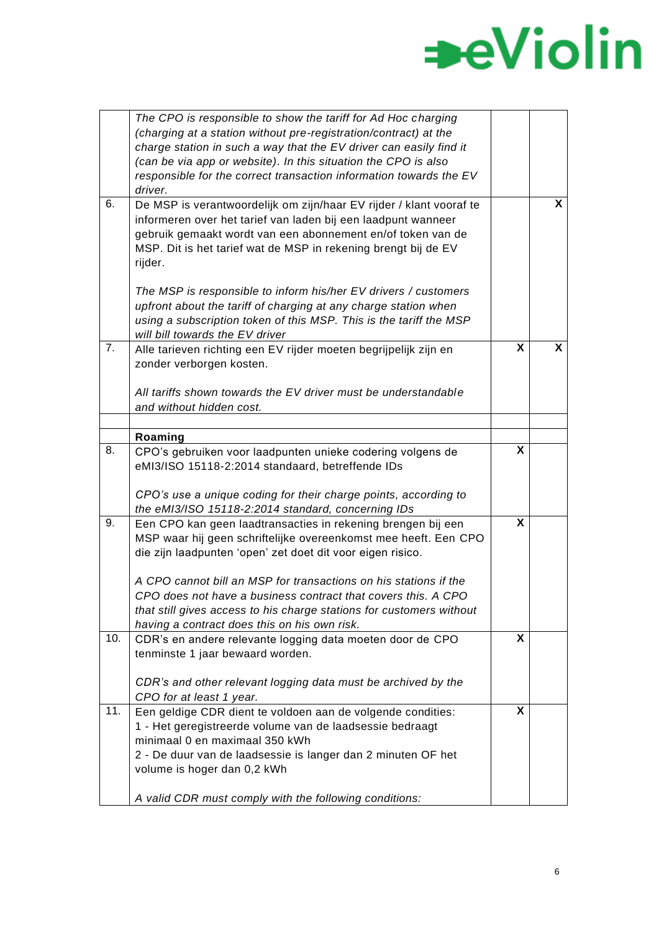|     | The CPO is responsible to show the tariff for Ad Hoc charging<br>(charging at a station without pre-registration/contract) at the<br>charge station in such a way that the EV driver can easily find it                                                                          |   |   |
|-----|----------------------------------------------------------------------------------------------------------------------------------------------------------------------------------------------------------------------------------------------------------------------------------|---|---|
|     | (can be via app or website). In this situation the CPO is also<br>responsible for the correct transaction information towards the EV<br>driver.                                                                                                                                  |   |   |
| 6.  | De MSP is verantwoordelijk om zijn/haar EV rijder / klant vooraf te<br>informeren over het tarief van laden bij een laadpunt wanneer<br>gebruik gemaakt wordt van een abonnement en/of token van de<br>MSP. Dit is het tarief wat de MSP in rekening brengt bij de EV<br>rijder. |   | X |
|     | The MSP is responsible to inform his/her EV drivers / customers<br>upfront about the tariff of charging at any charge station when<br>using a subscription token of this MSP. This is the tariff the MSP<br>will bill towards the EV driver                                      |   |   |
| 7.  | Alle tarieven richting een EV rijder moeten begrijpelijk zijn en<br>zonder verborgen kosten.                                                                                                                                                                                     | X | X |
|     | All tariffs shown towards the EV driver must be understandable<br>and without hidden cost.                                                                                                                                                                                       |   |   |
|     |                                                                                                                                                                                                                                                                                  |   |   |
| 8.  | Roaming                                                                                                                                                                                                                                                                          | X |   |
|     | CPO's gebruiken voor laadpunten unieke codering volgens de<br>eMI3/ISO 15118-2:2014 standaard, betreffende IDs                                                                                                                                                                   |   |   |
|     | CPO's use a unique coding for their charge points, according to<br>the eMI3/ISO 15118-2:2014 standard, concerning IDs                                                                                                                                                            |   |   |
| 9.  | Een CPO kan geen laadtransacties in rekening brengen bij een<br>MSP waar hij geen schriftelijke overeenkomst mee heeft. Een CPO<br>die zijn laadpunten 'open' zet doet dit voor eigen risico.                                                                                    | X |   |
|     | A CPO cannot bill an MSP for transactions on his stations if the<br>CPO does not have a business contract that covers this. A CPO<br>that still gives access to his charge stations for customers without<br>having a contract does this on his own risk.                        |   |   |
| 10. | CDR's en andere relevante logging data moeten door de CPO<br>tenminste 1 jaar bewaard worden.                                                                                                                                                                                    | X |   |
|     | CDR's and other relevant logging data must be archived by the<br>CPO for at least 1 year.                                                                                                                                                                                        |   |   |
| 11. | Een geldige CDR dient te voldoen aan de volgende condities:<br>1 - Het geregistreerde volume van de laadsessie bedraagt<br>minimaal 0 en maximaal 350 kWh<br>2 - De duur van de laadsessie is langer dan 2 minuten OF het<br>volume is hoger dan 0,2 kWh                         | X |   |
|     | A valid CDR must comply with the following conditions:                                                                                                                                                                                                                           |   |   |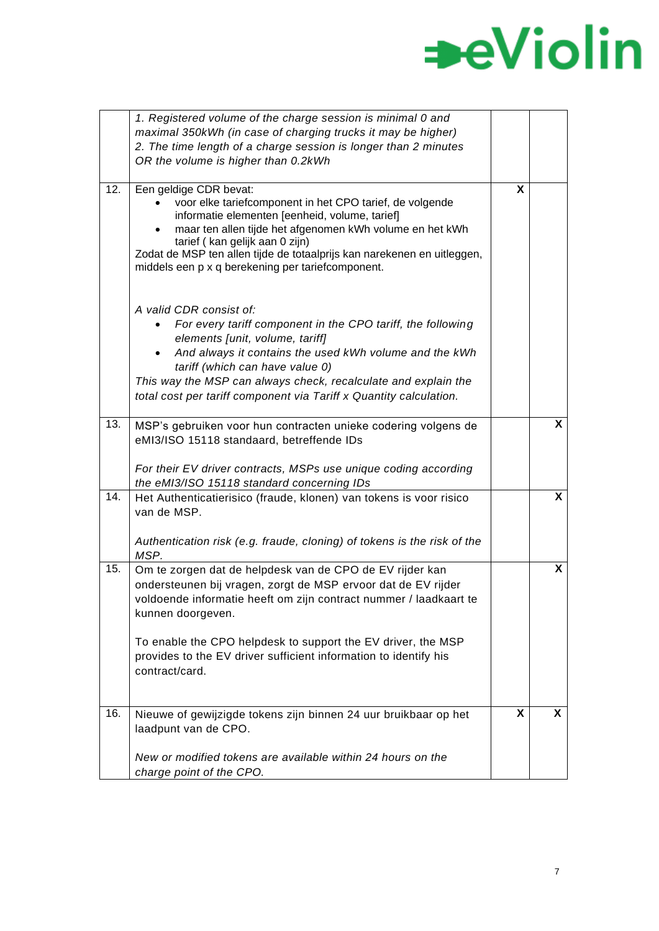|     | 1. Registered volume of the charge session is minimal 0 and             |   |              |
|-----|-------------------------------------------------------------------------|---|--------------|
|     | maximal 350kWh (in case of charging trucks it may be higher)            |   |              |
|     | 2. The time length of a charge session is longer than 2 minutes         |   |              |
|     | OR the volume is higher than 0.2kWh                                     |   |              |
|     |                                                                         |   |              |
| 12. | Een geldige CDR bevat:                                                  | X |              |
|     | voor elke tariefcomponent in het CPO tarief, de volgende                |   |              |
|     | informatie elementen [eenheid, volume, tarief]                          |   |              |
|     | maar ten allen tijde het afgenomen kWh volume en het kWh                |   |              |
|     | tarief (kan gelijk aan 0 zijn)                                          |   |              |
|     | Zodat de MSP ten allen tijde de totaalprijs kan narekenen en uitleggen, |   |              |
|     | middels een p x q berekening per tariefcomponent.                       |   |              |
|     |                                                                         |   |              |
|     |                                                                         |   |              |
|     | A valid CDR consist of:                                                 |   |              |
|     | For every tariff component in the CPO tariff, the following             |   |              |
|     | elements [unit, volume, tariff]                                         |   |              |
|     | And always it contains the used kWh volume and the kWh                  |   |              |
|     | tariff (which can have value 0)                                         |   |              |
|     | This way the MSP can always check, recalculate and explain the          |   |              |
|     | total cost per tariff component via Tariff x Quantity calculation.      |   |              |
|     |                                                                         |   |              |
| 13. | MSP's gebruiken voor hun contracten unieke codering volgens de          |   | X            |
|     | eMI3/ISO 15118 standaard, betreffende IDs                               |   |              |
|     |                                                                         |   |              |
|     | For their EV driver contracts, MSPs use unique coding according         |   |              |
|     |                                                                         |   |              |
| 14. | the eMI3/ISO 15118 standard concerning IDs                              |   | $\mathsf{X}$ |
|     | Het Authenticatierisico (fraude, klonen) van tokens is voor risico      |   |              |
|     | van de MSP.                                                             |   |              |
|     |                                                                         |   |              |
|     | Authentication risk (e.g. fraude, cloning) of tokens is the risk of the |   |              |
|     | MSP.                                                                    |   |              |
| 15. | Om te zorgen dat de helpdesk van de CPO de EV rijder kan                |   | X            |
|     | ondersteunen bij vragen, zorgt de MSP ervoor dat de EV rijder           |   |              |
|     | voldoende informatie heeft om zijn contract nummer / laadkaart te       |   |              |
|     | kunnen doorgeven.                                                       |   |              |
|     |                                                                         |   |              |
|     | To enable the CPO helpdesk to support the EV driver, the MSP            |   |              |
|     | provides to the EV driver sufficient information to identify his        |   |              |
|     | contract/card.                                                          |   |              |
|     |                                                                         |   |              |
|     |                                                                         |   |              |
| 16. | Nieuwe of gewijzigde tokens zijn binnen 24 uur bruikbaar op het         | X | X            |
|     | laadpunt van de CPO.                                                    |   |              |
|     |                                                                         |   |              |
|     | New or modified tokens are available within 24 hours on the             |   |              |
|     |                                                                         |   |              |
|     | charge point of the CPO.                                                |   |              |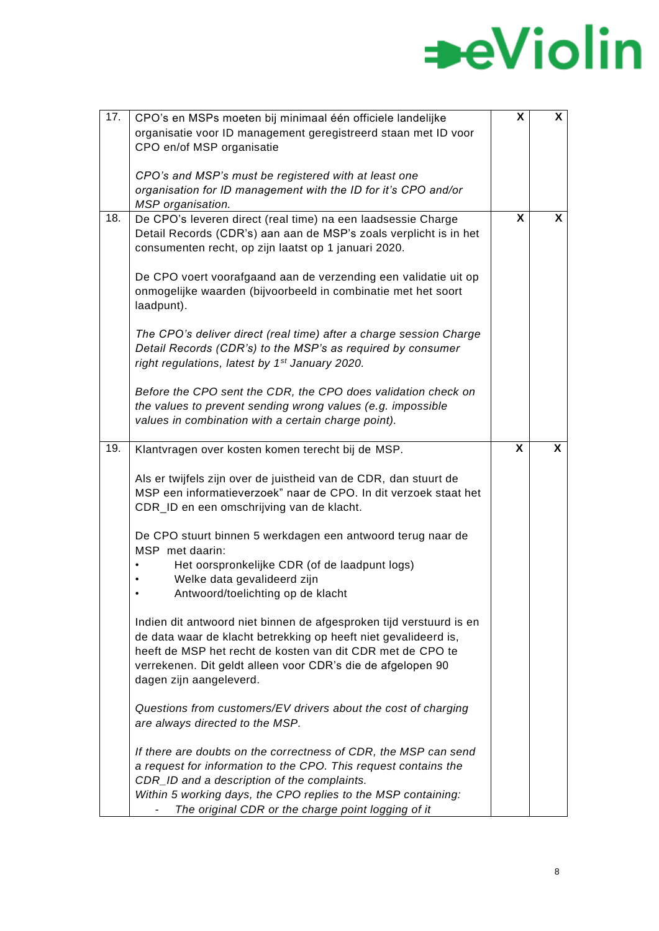| 17. | CPO's en MSPs moeten bij minimaal één officiele landelijke          | X | X |
|-----|---------------------------------------------------------------------|---|---|
|     |                                                                     |   |   |
|     | organisatie voor ID management geregistreerd staan met ID voor      |   |   |
|     | CPO en/of MSP organisatie                                           |   |   |
|     |                                                                     |   |   |
|     | CPO's and MSP's must be registered with at least one                |   |   |
|     | organisation for ID management with the ID for it's CPO and/or      |   |   |
|     | MSP organisation.                                                   |   |   |
| 18. | De CPO's leveren direct (real time) na een laadsessie Charge        | X | X |
|     |                                                                     |   |   |
|     | Detail Records (CDR's) aan aan de MSP's zoals verplicht is in het   |   |   |
|     | consumenten recht, op zijn laatst op 1 januari 2020.                |   |   |
|     |                                                                     |   |   |
|     | De CPO voert voorafgaand aan de verzending een validatie uit op     |   |   |
|     | onmogelijke waarden (bijvoorbeeld in combinatie met het soort       |   |   |
|     | laadpunt).                                                          |   |   |
|     |                                                                     |   |   |
|     |                                                                     |   |   |
|     | The CPO's deliver direct (real time) after a charge session Charge  |   |   |
|     | Detail Records (CDR's) to the MSP's as required by consumer         |   |   |
|     | right regulations, latest by 1 <sup>st</sup> January 2020.          |   |   |
|     |                                                                     |   |   |
|     | Before the CPO sent the CDR, the CPO does validation check on       |   |   |
|     |                                                                     |   |   |
|     | the values to prevent sending wrong values (e.g. impossible         |   |   |
|     | values in combination with a certain charge point).                 |   |   |
|     |                                                                     |   |   |
| 19. | Klantvragen over kosten komen terecht bij de MSP.                   | X | X |
|     |                                                                     |   |   |
|     | Als er twijfels zijn over de juistheid van de CDR, dan stuurt de    |   |   |
|     | MSP een informatieverzoek" naar de CPO. In dit verzoek staat het    |   |   |
|     |                                                                     |   |   |
|     | CDR_ID en een omschrijving van de klacht.                           |   |   |
|     |                                                                     |   |   |
|     | De CPO stuurt binnen 5 werkdagen een antwoord terug naar de         |   |   |
|     | MSP met daarin:                                                     |   |   |
|     | Het oorspronkelijke CDR (of de laadpunt logs)                       |   |   |
|     | Welke data gevalideerd zijn                                         |   |   |
|     | Antwoord/toelichting op de klacht                                   |   |   |
|     |                                                                     |   |   |
|     |                                                                     |   |   |
|     | Indien dit antwoord niet binnen de afgesproken tijd verstuurd is en |   |   |
|     | de data waar de klacht betrekking op heeft niet gevalideerd is,     |   |   |
|     | heeft de MSP het recht de kosten van dit CDR met de CPO te          |   |   |
|     | verrekenen. Dit geldt alleen voor CDR's die de afgelopen 90         |   |   |
|     | dagen zijn aangeleverd.                                             |   |   |
|     |                                                                     |   |   |
|     |                                                                     |   |   |
|     | Questions from customers/EV drivers about the cost of charging      |   |   |
|     | are always directed to the MSP.                                     |   |   |
|     |                                                                     |   |   |
|     | If there are doubts on the correctness of CDR, the MSP can send     |   |   |
|     | a request for information to the CPO. This request contains the     |   |   |
|     | CDR_ID and a description of the complaints.                         |   |   |
|     | Within 5 working days, the CPO replies to the MSP containing:       |   |   |
|     |                                                                     |   |   |
|     | The original CDR or the charge point logging of it                  |   |   |